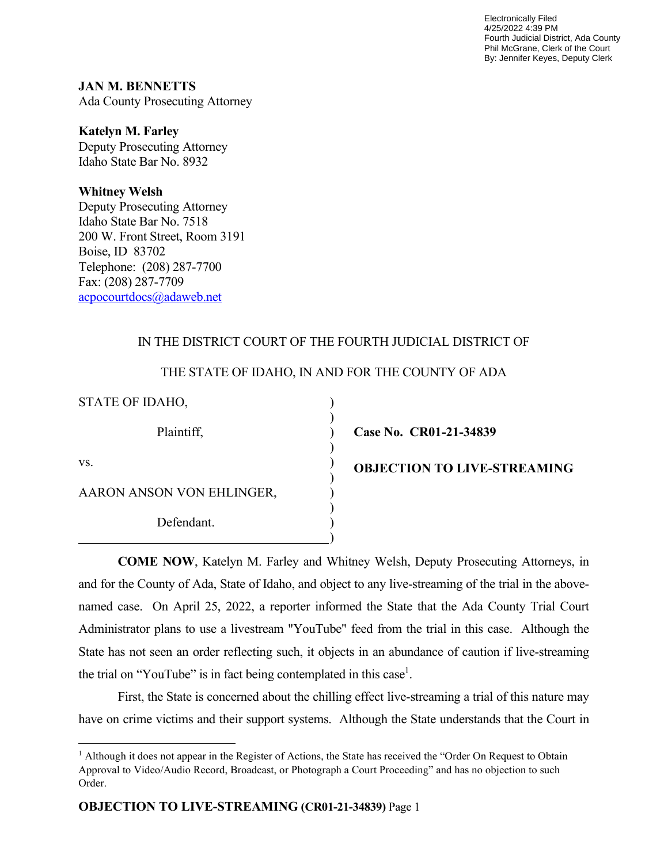Electronically Filed 4/25/2022 4:39 PM Fourth Judicial District, Ada County Phil McGrane, Clerk of the Court By: Jennifer Keyes, Deputy Clerk

**JAN M. BENNETTS** Ada County Prosecuting Attorney

#### **Katelyn M. Farley**

Deputy Prosecuting Attorney Idaho State Bar No. 8932

### **Whitney Welsh**

Deputy Prosecuting Attorney Idaho State Bar No. 7518 200 W. Front Street, Room 3191 Boise, ID 83702 Telephone: (208) 287-7700 Fax: (208) 287-7709 acpocourtdocs@adaweb.net

# IN THE DISTRICT COURT OF THE FOURTH JUDICIAL DISTRICT OF

# THE STATE OF IDAHO, IN AND FOR THE COUNTY OF ADA

) ) ) ) ) ) ) ) ) )

STATE OF IDAHO,

Plaintiff,

**Case No. CR01-21-34839**

vs.

AARON ANSON VON EHLINGER,

Defendant.

**OBJECTION TO LIVE-STREAMING**

 **COME NOW**, Katelyn M. Farley and Whitney Welsh, Deputy Prosecuting Attorneys, in and for the County of Ada, State of Idaho, and object to any live-streaming of the trial in the abovenamed case. On April 25, 2022, a reporter informed the State that the Ada County Trial Court Administrator plans to use a livestream "YouTube" feed from the trial in this case. Although the State has not seen an order reflecting such, it objects in an abundance of caution if live-streaming the trial on "YouTube" is in fact being contemplated in this case<sup>1</sup>.

 First, the State is concerned about the chilling effect live-streaming a trial of this nature may have on crime victims and their support systems. Although the State understands that the Court in

<sup>&</sup>lt;sup>1</sup> Although it does not appear in the Register of Actions, the State has received the "Order On Request to Obtain Approval to Video/Audio Record, Broadcast, or Photograph a Court Proceeding" and has no objection to such Order.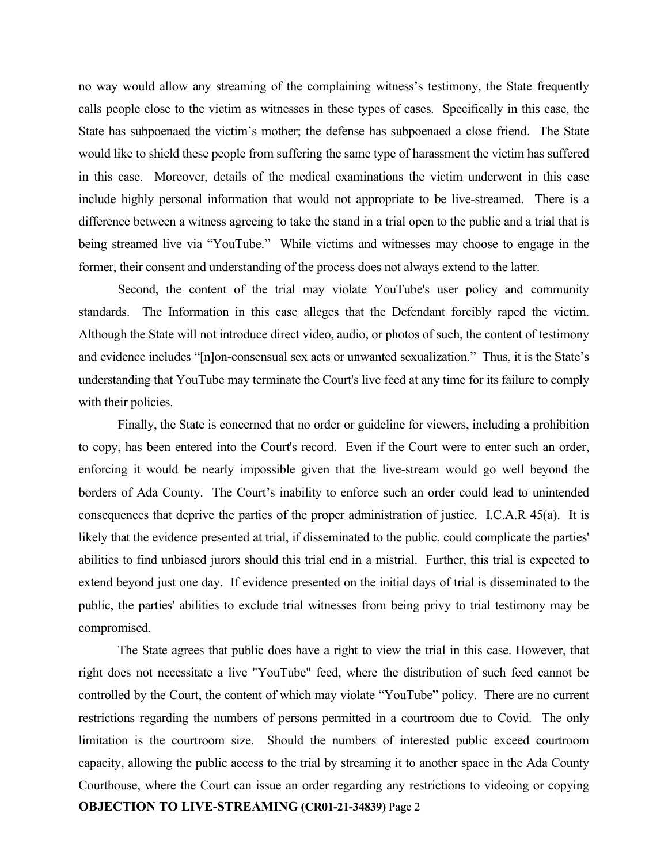no way would allow any streaming of the complaining witness's testimony, the State frequently calls people close to the victim as witnesses in these types of cases. Specifically in this case, the State has subpoenaed the victim's mother; the defense has subpoenaed a close friend. The State would like to shield these people from suffering the same type of harassment the victim has suffered in this case. Moreover, details of the medical examinations the victim underwent in this case include highly personal information that would not appropriate to be live-streamed. There is a difference between a witness agreeing to take the stand in a trial open to the public and a trial that is being streamed live via "YouTube." While victims and witnesses may choose to engage in the former, their consent and understanding of the process does not always extend to the latter.

 Second, the content of the trial may violate YouTube's user policy and community standards. The Information in this case alleges that the Defendant forcibly raped the victim. Although the State will not introduce direct video, audio, or photos of such, the content of testimony and evidence includes "[n]on-consensual sex acts or unwanted sexualization." Thus, it is the State's understanding that YouTube may terminate the Court's live feed at any time for its failure to comply with their policies.

 Finally, the State is concerned that no order or guideline for viewers, including a prohibition to copy, has been entered into the Court's record. Even if the Court were to enter such an order, enforcing it would be nearly impossible given that the live-stream would go well beyond the borders of Ada County. The Court's inability to enforce such an order could lead to unintended consequences that deprive the parties of the proper administration of justice. I.C.A.R 45(a). It is likely that the evidence presented at trial, if disseminated to the public, could complicate the parties' abilities to find unbiased jurors should this trial end in a mistrial. Further, this trial is expected to extend beyond just one day. If evidence presented on the initial days of trial is disseminated to the public, the parties' abilities to exclude trial witnesses from being privy to trial testimony may be compromised.

**OBJECTION TO LIVE-STREAMING (CR01-21-34839)** Page 2 The State agrees that public does have a right to view the trial in this case. However, that right does not necessitate a live "YouTube" feed, where the distribution of such feed cannot be controlled by the Court, the content of which may violate "YouTube" policy. There are no current restrictions regarding the numbers of persons permitted in a courtroom due to Covid. The only limitation is the courtroom size. Should the numbers of interested public exceed courtroom capacity, allowing the public access to the trial by streaming it to another space in the Ada County Courthouse, where the Court can issue an order regarding any restrictions to videoing or copying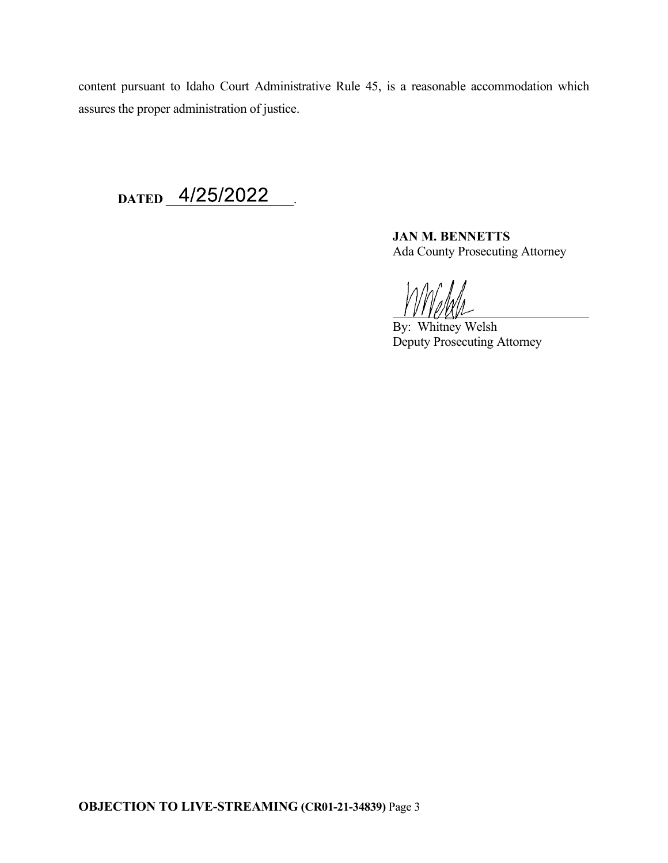content pursuant to Idaho Court Administrative Rule 45, is a reasonable accommodation which assures the proper administration of justice.

DATED 4/25/2022

**JAN M. BENNETTS** Ada County Prosecuting Attorney

 $\overline{a}$ 

By: Whitney Welsh Deputy Prosecuting Attorney